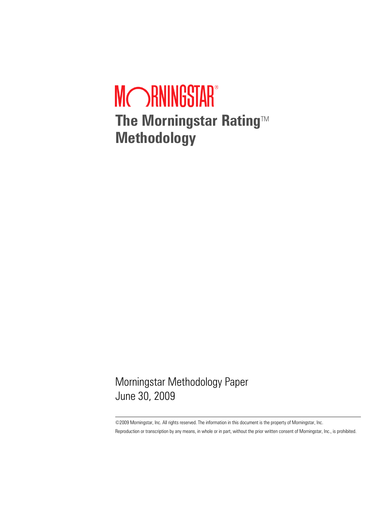# MCORNINGSTAR® **The Morningstar Rating™ Methodology**

Morningstar Methodology Paper June 30, 2009

©2009 Morningstar, Inc. All rights reserved. The information in this document is the property of Morningstar, Inc. Reproduction or transcription by any means, in whole or in part, without the prior written consent of Morningstar, Inc., is prohibited.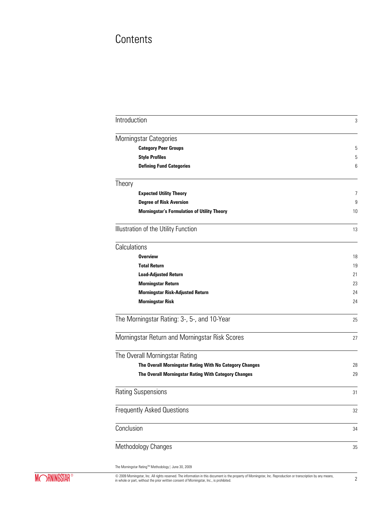# **Contents**

| Introduction |                                                         | 3  |
|--------------|---------------------------------------------------------|----|
|              | Morningstar Categories                                  |    |
|              | <b>Category Peer Groups</b>                             | 5  |
|              | <b>Style Profiles</b>                                   | 5  |
|              | <b>Defining Fund Categories</b>                         | 6  |
| Theory       |                                                         |    |
|              | <b>Expected Utility Theory</b>                          | 7  |
|              | <b>Degree of Risk Aversion</b>                          | 9  |
|              | <b>Morningstar's Formulation of Utility Theory</b>      | 10 |
|              | Illustration of the Utility Function                    | 13 |
| Calculations |                                                         |    |
|              | <b>Overview</b>                                         | 18 |
|              | <b>Total Return</b>                                     | 19 |
|              | <b>Load-Adjusted Return</b>                             | 21 |
|              | <b>Morningstar Return</b>                               | 23 |
|              | <b>Morningstar Risk-Adjusted Return</b>                 | 24 |
|              | <b>Morningstar Risk</b>                                 | 24 |
|              | The Morningstar Rating: 3-, 5-, and 10-Year             | 25 |
|              | Morningstar Return and Morningstar Risk Scores          | 27 |
|              | The Overall Morningstar Rating                          |    |
|              | The Overall Morningstar Rating With No Category Changes | 28 |
|              | The Overall Morningstar Rating With Category Changes    | 29 |
|              | <b>Rating Suspensions</b>                               | 31 |
|              | <b>Frequently Asked Questions</b>                       | 32 |
| Conclusion   |                                                         | 34 |
|              | Methodology Changes                                     | 35 |

The Morningstar Rating™ Methodology | June 30, 2009

© 2009 Morningstar, Inc. All rights reserved. The information in this document is the property of Morningstar, Inc. Reproduction or transcription by any means, 2<br>in whole or part, without the prior written consent of Morni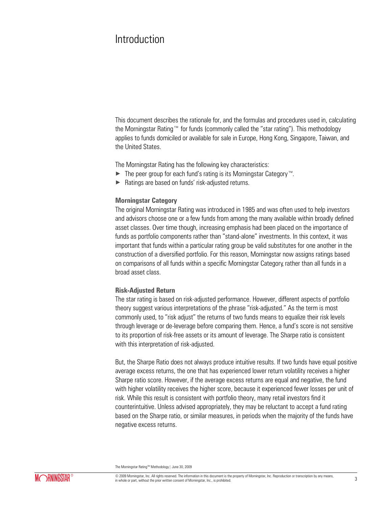### Introduction

This document describes the rationale for, and the formulas and procedures used in, calculating the Morningstar Rating™ for funds (commonly called the "star rating"). This methodology applies to funds domiciled or available for sale in Europe, Hong Kong, Singapore, Taiwan, and the United States.

The Morningstar Rating has the following key characteristics:

- × The peer group for each fund's rating is its Morningstar Category™.
- ▶ Ratings are based on funds' risk-adjusted returns.

#### **Morningstar Category**

The original Morningstar Rating was introduced in 1985 and was often used to help investors and advisors choose one or a few funds from among the many available within broadly defined asset classes. Over time though, increasing emphasis had been placed on the importance of funds as portfolio components rather than "stand-alone" investments. In this context, it was important that funds within a particular rating group be valid substitutes for one another in the construction of a diversified portfolio. For this reason, Morningstar now assigns ratings based on comparisons of all funds within a specific Morningstar Category, rather than all funds in a broad asset class.

#### **Risk-Adjusted Return**

The star rating is based on risk-adjusted performance. However, different aspects of portfolio theory suggest various interpretations of the phrase "risk-adjusted." As the term is most commonly used, to "risk adjust" the returns of two funds means to equalize their risk levels through leverage or de-leverage before comparing them. Hence, a fund's score is not sensitive to its proportion of risk-free assets or its amount of leverage. The Sharpe ratio is consistent with this interpretation of risk-adjusted.

But, the Sharpe Ratio does not always produce intuitive results. If two funds have equal positive average excess returns, the one that has experienced lower return volatility receives a higher Sharpe ratio score. However, if the average excess returns are equal and negative, the fund with higher volatility receives the higher score, because it experienced fewer losses per unit of risk. While this result is consistent with portfolio theory, many retail investors find it counterintuitive. Unless advised appropriately, they may be reluctant to accept a fund rating based on the Sharpe ratio, or similar measures, in periods when the majority of the funds have negative excess returns.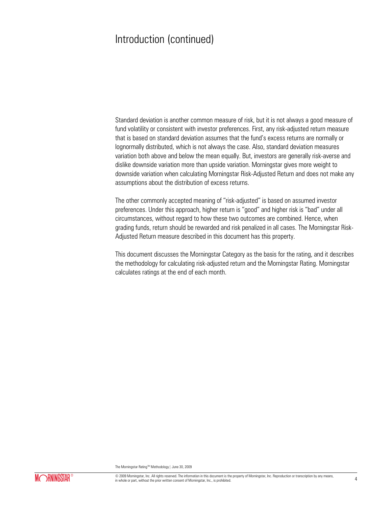### Introduction (continued)

Standard deviation is another common measure of risk, but it is not always a good measure of fund volatility or consistent with investor preferences. First, any risk-adjusted return measure that is based on standard deviation assumes that the fund's excess returns are normally or lognormally distributed, which is not always the case. Also, standard deviation measures variation both above and below the mean equally. But, investors are generally risk-averse and dislike downside variation more than upside variation. Morningstar gives more weight to downside variation when calculating Morningstar Risk-Adjusted Return and does not make any assumptions about the distribution of excess returns.

The other commonly accepted meaning of "risk-adjusted" is based on assumed investor preferences. Under this approach, higher return is "good" and higher risk is "bad" under all circumstances, without regard to how these two outcomes are combined. Hence, when grading funds, return should be rewarded and risk penalized in all cases. The Morningstar Risk-Adjusted Return measure described in this document has this property.

This document discusses the Morningstar Category as the basis for the rating, and it describes the methodology for calculating risk-adjusted return and the Morningstar Rating. Morningstar calculates ratings at the end of each month.

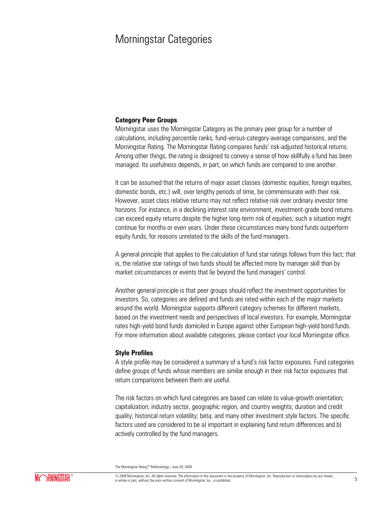### Morningstar Categories

#### **Category Peer Groups**

Morningstar uses the Morningstar Category as the primary peer group for a number of calculations, including percentile ranks, fund-versus-category-average comparisons, and the Morningstar Rating. The Morningstar Rating compares funds' risk-adjusted historical returns. Among other things, the rating is designed to convey a sense of how skillfully a fund has been managed. Its usefulness depends, in part, on which funds are compared to one another.

It can be assumed that the returns of major asset classes (domestic equities, foreign equities, domestic bonds, etc.) will, over lengthy periods of time, be commensurate with their risk. However, asset class relative returns may not reflect relative risk over ordinary investor time horizons. For instance, in a declining interest rate environment, investment-grade bond returns can exceed equity returns despite the higher long-term risk of equities; such a situation might continue for months or even years. Under these circumstances many bond funds outperform equity funds, for reasons unrelated to the skills of the fund managers.

A general principle that applies to the calculation of fund star ratings follows from this fact; that is, the relative star ratings of two funds should be affected more by manager skill than by market circumstances or events that lie beyond the fund managers' control.

Another general principle is that peer groups should reflect the investment opportunities for investors. So, categories are defined and funds are rated within each of the major markets around the world. Morningstar supports different category schemes for different markets, based on the investment needs and perspectives of local investors. For example, Morningstar rates high-yield bond funds domiciled in Europe against other European high-yield bond funds. For more information about available categories, please contact your local Morningstar office.

#### **Style Profiles**

A style profile may be considered a summary of a fund's risk factor exposures. Fund categories define groups of funds whose members are similar enough in their risk factor exposures that return comparisons between them are useful.

The risk factors on which fund categories are based can relate to value-growth orientation; capitalization; industry sector, geographic region, and country weights; duration and credit quality; historical return volatility; beta; and many other investment style factors. The specific factors used are considered to be a) important in explaining fund return differences and b) actively controlled by the fund managers.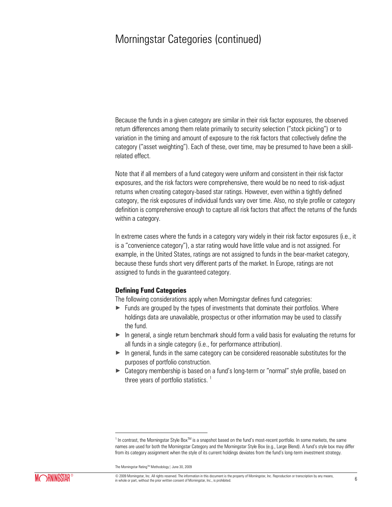### Morningstar Categories (continued)

Because the funds in a given category are similar in their risk factor exposures, the observed return differences among them relate primarily to security selection ("stock picking") or to variation in the timing and amount of exposure to the risk factors that collectively define the category ("asset weighting"). Each of these, over time, may be presumed to have been a skillrelated effect.

Note that if all members of a fund category were uniform and consistent in their risk factor exposures, and the risk factors were comprehensive, there would be no need to risk-adjust returns when creating category-based star ratings. However, even within a tightly defined category, the risk exposures of individual funds vary over time. Also, no style profile or category definition is comprehensive enough to capture all risk factors that affect the returns of the funds within a category.

In extreme cases where the funds in a category vary widely in their risk factor exposures (i.e., it is a "convenience category"), a star rating would have little value and is not assigned. For example, in the United States, ratings are not assigned to funds in the bear-market category, because these funds short very different parts of the market. In Europe, ratings are not assigned to funds in the guaranteed category.

#### **Defining Fund Categories**

The following considerations apply when Morningstar defines fund categories:

- $\triangleright$  Funds are grouped by the types of investments that dominate their portfolios. Where holdings data are unavailable, prospectus or other information may be used to classify the fund.
- $\triangleright$  In general, a single return benchmark should form a valid basis for evaluating the returns for all funds in a single category (i.e., for performance attribution).
- $\blacktriangleright$  In general, funds in the same category can be considered reasonable substitutes for the purposes of portfolio construction.
- ► Category membership is based on a fund's long-term or "normal" style profile, based on three years of portfolio statistics.  $<sup>1</sup>$ </sup>

The Morningstar Rating™ Methodology | June 30, 2009

 $\overline{a}$ 

<sup>&</sup>lt;sup>1</sup> In contrast, the Morningstar Style Box<sup>™</sup> is a snapshot based on the fund's most-recent portfolio. In some markets, the same names are used for both the Morningstar Category and the Morningstar Style Box (e.g., Large Blend). A fund's style box may differ from its category assignment when the style of its current holdings deviates from the fund's long-term investment strategy.

<sup>©</sup> 2009 Morningstar, Inc. All rights reserved. The information in this document is the property of Morningstar, Inc. Reproduction or transcription by any means,  $\omega$  zoos morningstar, inc. All rights reserved. The information in this occurrent is the property or morningstar, inc. reproduction or datisciplion by any means,  $6$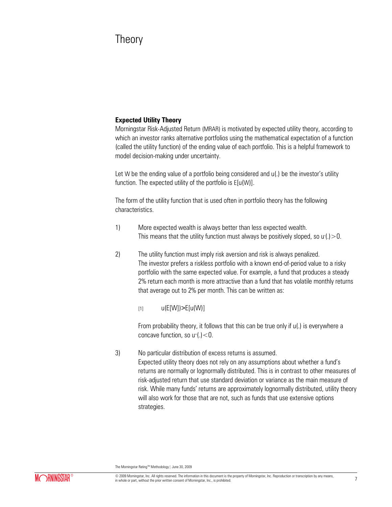### **Theory**

### **Expected Utility Theory**

Morningstar Risk-Adjusted Return (MRAR) is motivated by expected utility theory, according to which an investor ranks alternative portfolios using the mathematical expectation of a function (called the utility function) of the ending value of each portfolio. This is a helpful framework to model decision-making under uncertainty.

Let W be the ending value of a portfolio being considered and  $u(.)$  be the investor's utility function. The expected utility of the portfolio is E[u(W)].

The form of the utility function that is used often in portfolio theory has the following characteristics.

- 1) More expected wealth is always better than less expected wealth. This means that the utility function must always be positively sloped, so  $u'(.)>0$ .
- 2) The utility function must imply risk aversion and risk is always penalized. The investor prefers a riskless portfolio with a known end-of-period value to a risky portfolio with the same expected value. For example, a fund that produces a steady 2% return each month is more attractive than a fund that has volatile monthly returns that average out to 2% per month. This can be written as:
	- $u(E[W]) > E[u(W)]$

From probability theory, it follows that this can be true only if u(.) is everywhere a concave function, so  $u^{\prime\prime}$  (.) < 0.

3) No particular distribution of excess returns is assumed. Expected utility theory does not rely on any assumptions about whether a fund's returns are normally or lognormally distributed. This is in contrast to other measures of risk-adjusted return that use standard deviation or variance as the main measure of risk. While many funds' returns are approximately lognormally distributed, utility theory will also work for those that are not, such as funds that use extensive options strategies.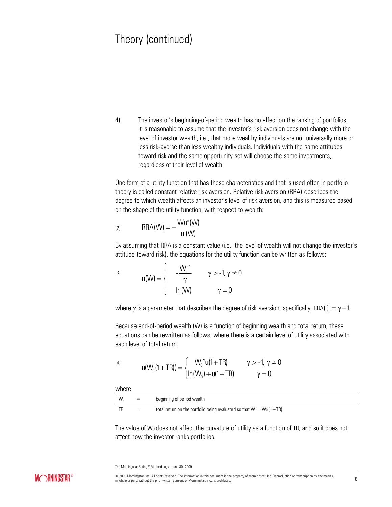4) The investor's beginning-of-period wealth has no effect on the ranking of portfolios. It is reasonable to assume that the investor's risk aversion does not change with the level of investor wealth, i.e., that more wealthy individuals are not universally more or less risk-averse than less wealthy individuals. Individuals with the same attitudes toward risk and the same opportunity set will choose the same investments, regardless of their level of wealth.

One form of a utility function that has these characteristics and that is used often in portfolio theory is called constant relative risk aversion. Relative risk aversion (RRA) describes the degree to which wealth affects an investor's level of risk aversion, and this is measured based on the shape of the utility function, with respect to wealth:

$$
[2] \qquad \qquad \text{RRA}(W) = -\frac{Wu''(W)}{u'(W)}
$$

By assuming that RRA is a constant value (i.e., the level of wealth will not change the investor's attitude toward risk), the equations for the utility function can be written as follows:

$$
u(W) = \begin{cases} -\frac{W^{\gamma}}{\gamma} & \gamma > -1, \gamma \neq 0 \\ \ln(W) & \gamma = 0 \end{cases}
$$

where  $\gamma$  is a parameter that describes the degree of risk aversion, specifically, RRA(.) =  $\gamma + 1$ .

Because end-of-period wealth (W) is a function of beginning wealth and total return, these equations can be rewritten as follows, where there is a certain level of utility associated with each level of total return.

[4]  
\n
$$
u(W_0(1+TR)) = \begin{cases} W_0^{-\gamma}u(1+TR) & \gamma > -1, \gamma \neq 0 \\ ln(W_0) + u(1+TR) & \gamma = 0 \end{cases}
$$

where

| .  |     |                                                                          |
|----|-----|--------------------------------------------------------------------------|
| W. | $=$ | beginning of period wealth                                               |
|    | $=$ | total return on the portfolio being evaluated so that $W = W_0 (1 + TR)$ |

The value of W0 does not affect the curvature of utility as a function of TR, and so it does not affect how the investor ranks portfolios.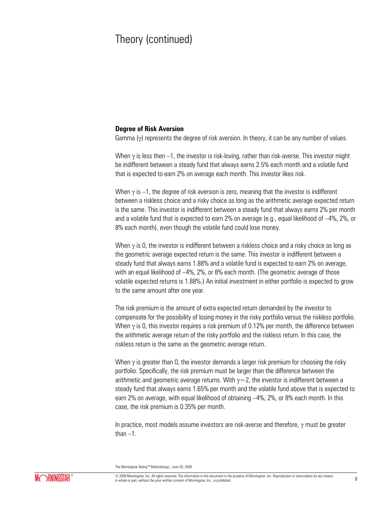#### **Degree of Risk Aversion**

Gamma  $(y)$  represents the degree of risk aversion. In theory, it can be any number of values.

When  $\gamma$  is less then –1, the investor is risk-loving, rather than risk-averse. This investor might be indifferent between a steady fund that always earns 2.5% each month and a volatile fund that is expected to earn 2% on average each month. This investor likes risk.

When  $\gamma$  is –1, the degree of risk aversion is zero, meaning that the investor is indifferent between a riskless choice and a risky choice as long as the arithmetic average expected return is the same. This investor is indifferent between a steady fund that always earns 2% per month and a volatile fund that is expected to earn 2% on average (e.g., equal likelihood of –4%, 2%, or 8% each month), even though the volatile fund could lose money.

When  $\gamma$  is 0, the investor is indifferent between a riskless choice and a risky choice as long as the geometric average expected return is the same. This investor is indifferent between a steady fund that always earns 1.88% and a volatile fund is expected to earn 2% on average, with an equal likelihood of –4%, 2%, or 8% each month. (The geometric average of those volatile expected returns is 1.88%.) An initial investment in either portfolio is expected to grow to the same amount after one year.

The risk premium is the amount of extra expected return demanded by the investor to compensate for the possibility of losing money in the risky portfolio versus the riskless portfolio. When  $\gamma$  is 0, this investor requires a risk premium of 0.12% per month, the difference between the arithmetic average return of the risky portfolio and the riskless return. In this case, the riskless return is the same as the geometric average return.

When  $\gamma$  is greater than 0, the investor demands a larger risk premium for choosing the risky portfolio. Specifically, the risk premium must be larger than the difference between the arithmetic and geometric average returns. With  $\gamma = 2$ , the investor is indifferent between a steady fund that always earns 1.65% per month and the volatile fund above that is expected to earn 2% on average, with equal likelihood of obtaining –4%, 2%, or 8% each month. In this case, the risk premium is 0.35% per month.

In practice, most models assume investors are risk-averse and therefore,  $\gamma$  must be greater than  $-1$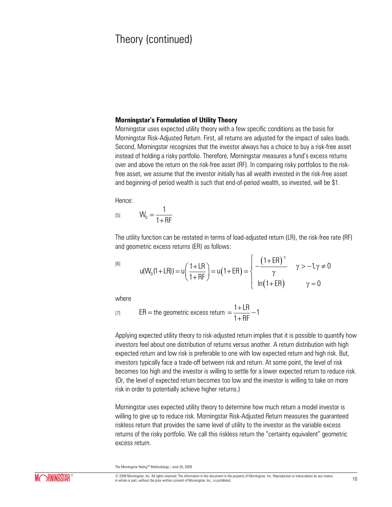#### **Morningstar's Formulation of Utility Theory**

Morningstar uses expected utility theory with a few specific conditions as the basis for Morningstar Risk-Adjusted Return. First, all returns are adjusted for the impact of sales loads. Second, Morningstar recognizes that the investor always has a choice to buy a risk-free asset instead of holding a risky portfolio. Therefore, Morningstar measures a fund's excess returns over and above the return on the risk-free asset (RF). In comparing risky portfolios to the riskfree asset, we assume that the investor initially has all wealth invested in the risk-free asset and beginning-of period wealth is such that end-of-period wealth, so invested, will be \$1.

Hence:

[5]  $W_0 = \frac{1}{1+1}$  $1 + RF$  $=$  $\ddot{}$ 

The utility function can be restated in terms of load-adjusted return (LR), the risk-free rate (RF)<br>and geometric excess returns (ER) as follows:<br> $\left(1+LR\right)$ <br> $\left(1+ER\right)^{-\gamma}$ <br> $\gamma > -1, \gamma \neq 0$ and geometric excess returns (ER) as follows:

[6]

ometric excess returns (ER) as follows:  
\n
$$
u(W_0(1+LR)) = u\left(\frac{1+LR}{1+RF}\right) = u(1+ER) = \begin{cases}\n-\frac{(1+ER)^{-\gamma}}{\gamma} & \gamma > -1, \gamma \neq 0 \\
ln(1+ER) & \gamma = 0\n\end{cases}
$$

where

[7] 
$$
ER = the geometric excess return = \frac{1 + LR}{1 + RF} - 1
$$

Applying expected utility theory to risk-adjusted return implies that it is possible to quantify how investors feel about one distribution of returns versus another. A return distribution with high expected return and low risk is preferable to one with low expected return and high risk. But, investors typically face a trade-off between risk and return. At some point, the level of risk becomes too high and the investor is willing to settle for a lower expected return to reduce risk. (Or, the level of expected return becomes too low and the investor is willing to take on more risk in order to potentially achieve higher returns.)

Morningstar uses expected utility theory to determine how much return a model investor is willing to give up to reduce risk. Morningstar Risk-Adjusted Return measures the guaranteed riskless return that provides the same level of utility to the investor as the variable excess returns of the risky portfolio. We call this riskless return the "certainty equivalent" geometric excess return.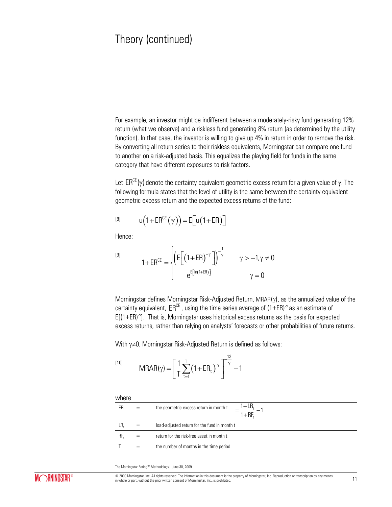For example, an investor might be indifferent between a moderately-risky fund generating 12% return (what we observe) and a riskless fund generating 8% return (as determined by the utility function). In that case, the investor is willing to give up 4% in return in order to remove the risk. By converting all return series to their riskless equivalents, Morningstar can compare one fund to another on a risk-adjusted basis. This equalizes the playing field for funds in the same category that have different exposures to risk factors.

Let  $\mathsf{ER}^\mathsf{CE}(\gamma)$  denote the certainty equivalent geometric excess return for a given value of  $\gamma$ . The following formula states that the level of utility is the same between the certainty equivalent geometric excess return and the expected excess returns of the fund:

$$
u(1 + ER^{CE}(\gamma)) = E[u(1 + ER)]
$$

Hence:

[9]

$$
1 + ER^{CE} = \begin{cases} \left( E\left[ \left( 1 + ER \right)^{-\gamma} \right] \right)^{-\frac{1}{\gamma}} & \gamma > -1, \gamma \neq 0 \\ e^{E\left[ \ln \left( 1 + ER \right) \right]} & \gamma = 0 \end{cases}
$$

Morningstar defines Morningstar Risk-Adjusted Return, MRAR $(y)$ , as the annualized value of the certainty equivalent,  $\mathsf{ER}^\mathsf{CE}$  , using the time series average of (1+ER) $^\gamma$  as an estimate of  $E[(1+ER)^{\gamma}]$ . That is, Morningstar uses historical excess returns as the basis for expected excess returns, rather than relying on analysts' forecasts or other probabilities of future returns.

With  $\gamma \neq 0$ , Morningstar Risk-Adjusted Return is defined as follows:

$$
^{[10]}
$$

$$
MRAR(\gamma) = \left[\frac{1}{T}\sum_{t=1}^{T} (1 + ER_t)^{\gamma}\right]^{\frac{12}{\gamma}} - 1
$$

where  $ER_t$  = the geometric excess return in month t  $LR_t$  = load-adjusted return for the fund in month t  $RF_{t}$  = return for the risk-free asset in month t  $T =$  the number of months in the time period t  $=\frac{1+EM_{t}}{1+RF_{t}}$  $\frac{1 + LR_t}{1 - R} - 1$ 

The Morningstar Rating™ Methodology | June 30, 2009



© 2009 Morningstar, Inc. All rights reserved. The information in this document is the property of Morningstar, Inc. Reproduction or transcription by any means, Exam whole or part, without the prior written consent of Momingstar, Inc., is prohibited. In whole or part, without the prior written consent of Momingstar, Inc., is prohibited. 11 and the prior written consent of Momingst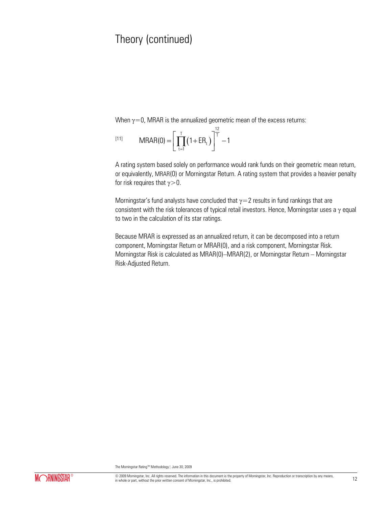When  $\gamma=0$ , MRAR is the annualized geometric mean of the excess returns:

[11] 
$$
MRAR(0) = \left[ \prod_{t=1}^{T} (1 + ER_t) \right]^{\frac{12}{T}} - 1
$$

A rating system based solely on performance would rank funds on their geometric mean return, or equivalently, MRAR(0) or Morningstar Return. A rating system that provides a heavier penalty for risk requires that  $\gamma$  > 0.

Morningstar's fund analysts have concluded that  $\gamma=2$  results in fund rankings that are consistent with the risk tolerances of typical retail investors. Hence, Morningstar uses a  $\gamma$  equal to two in the calculation of its star ratings.

Because MRAR is expressed as an annualized return, it can be decomposed into a return component, Morningstar Return or MRAR(0), and a risk component, Morningstar Risk. Morningstar Risk is calculated as MRAR(0)–MRAR(2), or Morningstar Return – Morningstar Risk-Adjusted Return.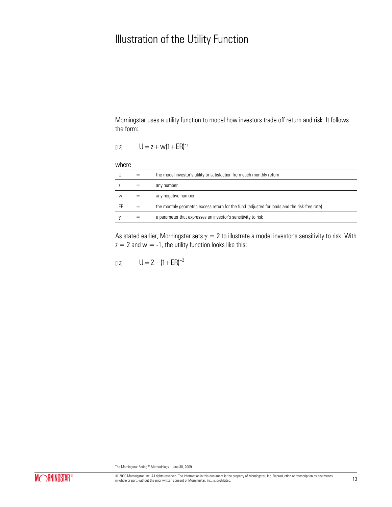# Illustration of the Utility Function

Morningstar uses a utility function to model how investors trade off return and risk. It follows the form:

$$
[12]
$$
  $U = z + w(1 + ER)^{-\gamma}$ 

#### where

|    | the model investor's utility or satisfaction from each monthly return                        |
|----|----------------------------------------------------------------------------------------------|
|    | any number                                                                                   |
| W  | any negative number                                                                          |
| FR | the monthly geometric excess return for the fund (adjusted for loads and the risk-free rate) |
|    | a parameter that expresses an investor's sensitivity to risk                                 |

As stated earlier, Morningstar sets  $\gamma = 2$  to illustrate a model investor's sensitivity to risk. With  $z = 2$  and  $w = -1$ , the utility function looks like this:

$$
[13] \qquad U = 2 - (1 + ER)^{-2}
$$

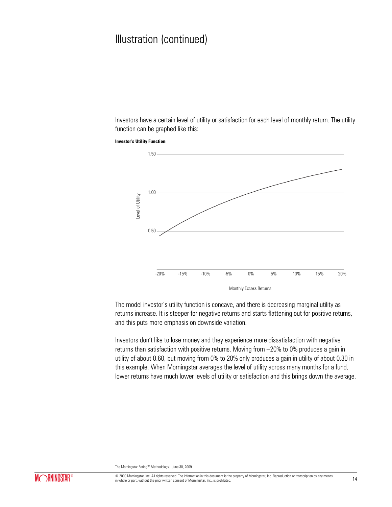Investors have a certain level of utility or satisfaction for each level of monthly return. The utility function can be graphed like this:

**Investor's Utility Function** 



The model investor's utility function is concave, and there is decreasing marginal utility as returns increase. It is steeper for negative returns and starts flattening out for positive returns, and this puts more emphasis on downside variation.

Investors don't like to lose money and they experience more dissatisfaction with negative returns than satisfaction with positive returns. Moving from –20% to 0% produces a gain in utility of about 0.60, but moving from 0% to 20% only produces a gain in utility of about 0.30 in this example. When Morningstar averages the level of utility across many months for a fund, lower returns have much lower levels of utility or satisfaction and this brings down the average.

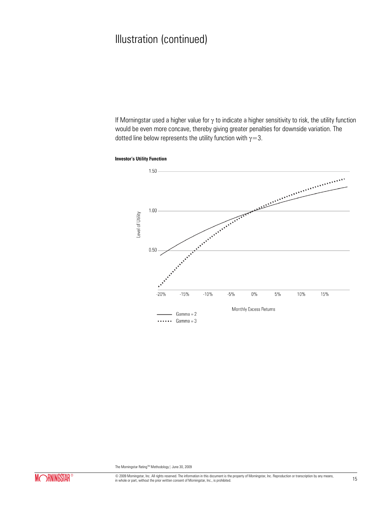If Morningstar used a higher value for  $\gamma$  to indicate a higher sensitivity to risk, the utility function would be even more concave, thereby giving greater penalties for downside variation. The dotted line below represents the utility function with  $\gamma=3$ .



**Investor's Utility Function** 

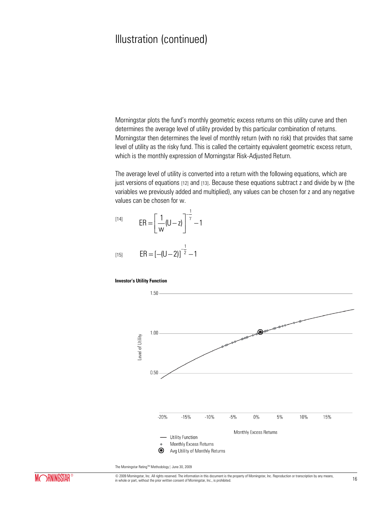Morningstar plots the fund's monthly geometric excess returns on this utility curve and then determines the average level of utility provided by this particular combination of returns. Morningstar then determines the level of monthly return (with no risk) that provides that same level of utility as the risky fund. This is called the certainty equivalent geometric excess return, which is the monthly expression of Morningstar Risk-Adjusted Return.

The average level of utility is converted into a return with the following equations, which are just versions of equations [12] and [13]. Because these equations subtract z and divide by w (the variables we previously added and multiplied), any values can be chosen for z and any negative values can be chosen for w.

$$
[14] \qquad \text{ER} = \left[\frac{1}{w}(U-z)\right]^{-\frac{1}{\gamma}} - 1
$$
  

$$
[15] \qquad \text{ER} = [-(U-2)]^{-\frac{1}{2}} - 1
$$

#### **Investor's Utility Function**



The Morningstar Rating™ Methodology | June 30, 2009



© 2009 Morningstar, Inc. All rights reserved. The information in this document is the property of Morningstar, Inc. Reproduction or transcription by any means,  $\omega$  zoos morningstar, inc. All rights reserved. The information in this occurrent is the property or morningstar, inc. reproduction or datisciplion by any means,  $16$  in whole or part, without the prior written consent o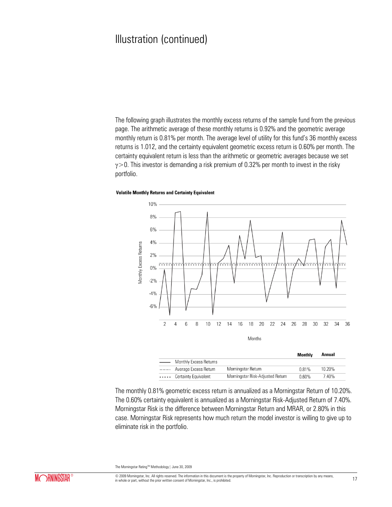The following graph illustrates the monthly excess returns of the sample fund from the previous page. The arithmetic average of these monthly returns is 0.92% and the geometric average monthly return is 0.81% per month. The average level of utility for this fund's 36 monthly excess returns is 1.012, and the certainty equivalent geometric excess return is 0.60% per month. The certainty equivalent return is less than the arithmetic or geometric averages because we set  $\gamma$  > 0. This investor is demanding a risk premium of 0.32% per month to invest in the risky portfolio.

#### **Volatile Monthly Returns and Certainty Equivalent**



The monthly 0.81% geometric excess return is annualized as a Morningstar Return of 10.20%. The 0.60% certainty equivalent is annualized as a Morningstar Risk-Adjusted Return of 7.40%. Morningstar Risk is the difference between Morningstar Return and MRAR, or 2.80% in this case. Morningstar Risk represents how much return the model investor is willing to give up to eliminate risk in the portfolio.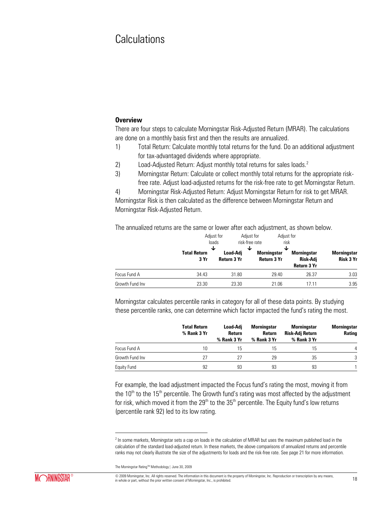### **Calculations**

#### **Overview**

There are four steps to calculate Morningstar Risk-Adjusted Return (MRAR). The calculations are done on a monthly basis first and then the results are annualized.

- 1) Total Return: Calculate monthly total returns for the fund. Do an additional adjustment for tax-advantaged dividends where appropriate.
- 2) Load-Adjusted Return: Adjust monthly total returns for sales loads.<sup>2</sup>
- 3) Morningstar Return: Calculate or collect monthly total returns for the appropriate riskfree rate. Adjust load-adjusted returns for the risk-free rate to get Morningstar Return.
- 4) Morningstar Risk-Adjusted Return: Adjust Morningstar Return for risk to get MRAR.

Morningstar Risk is then calculated as the difference between Morningstar Return and Morningstar Risk-Adjusted Return.

The annualized returns are the same or lower after each adjustment, as shown below.

|                 |                             | Adjust for<br>loads<br>↓       | Adjust for<br>risk-free rate<br>◡<br>J | Adjust for<br>risk                                   |                                 |
|-----------------|-----------------------------|--------------------------------|----------------------------------------|------------------------------------------------------|---------------------------------|
|                 | <b>Total Return</b><br>3 Yr | Load-Adi<br><b>Return 3 Yr</b> | <b>Morningstar</b><br>Return 3 Yr      | <b>Morningstar</b><br>Risk-Adi<br><b>Return 3 Yr</b> | <b>Morningstar</b><br>Risk 3 Yr |
| Focus Fund A    | 34.43                       | 31.80                          | 29.40                                  | 26.37                                                | 3.03                            |
| Growth Fund Inv | 23.30                       | 23.30                          | 21.06                                  | 17.11                                                | 3.95                            |

Morningstar calculates percentile ranks in category for all of these data points. By studying these percentile ranks, one can determine which factor impacted the fund's rating the most.

|                 | <b>Total Return</b><br>% Rank 3 Yr | Load-Adj<br>Return<br>% Rank 3 Yr | Morningstar<br>Return<br>% Rank 3 Yr | <b>Morningstar</b><br>Risk-Adj Return<br>% Rank 3 Yr | Morningstar<br><b>Rating</b> |
|-----------------|------------------------------------|-----------------------------------|--------------------------------------|------------------------------------------------------|------------------------------|
| Focus Fund A    | 10                                 | 15                                | 15                                   | 15                                                   | 4                            |
| Growth Fund Inv |                                    | 27                                | 29                                   | 35                                                   | 3                            |
| Equity Fund     | 92                                 | 93                                | 93                                   | 93                                                   |                              |

For example, the load adjustment impacted the Focus fund's rating the most, moving it from the  $10<sup>th</sup>$  to the  $15<sup>th</sup>$  percentile. The Growth fund's rating was most affected by the adjustment for risk, which moved it from the  $29<sup>th</sup>$  to the  $35<sup>th</sup>$  percentile. The Equity fund's low returns (percentile rank 92) led to its low rating.

 $\overline{a}$ 

<sup>&</sup>lt;sup>2</sup> In some markets, Morningstar sets a cap on loads in the calculation of MRAR but uses the maximum published load in the calculation of the standard load-adjusted return. In these markets, the above comparisons of annualized returns and percentile ranks may not clearly illustrate the size of the adjustments for loads and the risk-free rate. See page 21 for more information.

The Morningstar Rating™ Methodology | June 30, 2009

<sup>©</sup> 2009 Morningstar, Inc. All rights reserved. The information in this document is the property of Morningstar, Inc. Reproduction or transcription by any means, in whole or part, without the prior written consent of Momingstar, Inc., is prohibited. In whole or part, without the prior written consent of Momingstar, Inc., is prohibited. 18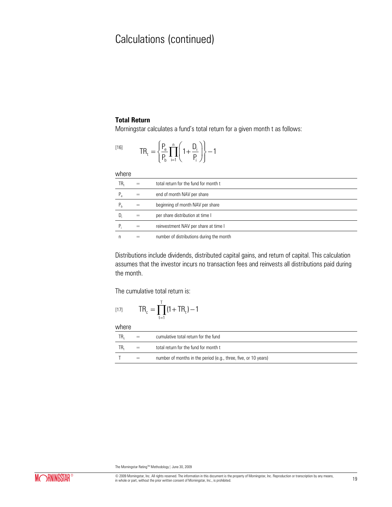### **Total Return**

Morningstar calculates a fund's total return for a given month t as follows:

$$
^{[16]} \hspace{1cm} TR_t = \left\{ \frac{P_e}{P_b} \prod_{i=1}^n \left(1 + \frac{D_i}{P_i} \right) \right\} - 1
$$

where

| $\mathsf{TR}_\mathsf{t}$ |     | total return for the fund for month t    |
|--------------------------|-----|------------------------------------------|
| $P_{\rho}$               | $=$ | end of month NAV per share               |
| P,                       |     | beginning of month NAV per share         |
| $D_i$                    |     | per share distribution at time I         |
| P.                       |     | reinvestment NAV per share at time I     |
|                          |     | number of distributions during the month |

Distributions include dividends, distributed capital gains, and return of capital. This calculation assumes that the investor incurs no transaction fees and reinvests all distributions paid during the month.

The cumulative total return is:

$$
[17] \hspace{1cm} TR_c = \prod_{t=1}^T (1 + TR_t) - 1
$$

where

| .   |     |                                                                 |
|-----|-----|-----------------------------------------------------------------|
| TR. | $=$ | cumulative total return for the fund                            |
| TR. |     | total return for the fund for month t                           |
|     |     | number of months in the period (e.g., three, five, or 10 years) |
|     |     |                                                                 |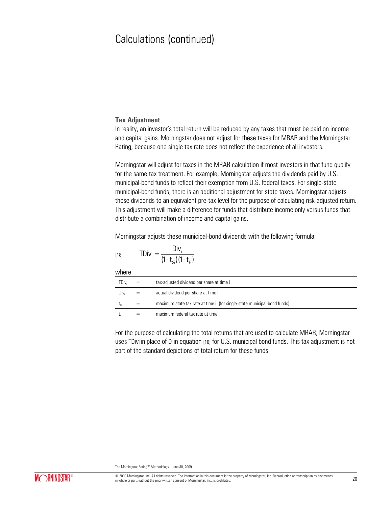### **Tax Adjustment**

In reality, an investor's total return will be reduced by any taxes that must be paid on income and capital gains. Morningstar does not adjust for these taxes for MRAR and the Morningstar Rating, because one single tax rate does not reflect the experience of all investors.

Morningstar will adjust for taxes in the MRAR calculation if most investors in that fund qualify for the same tax treatment. For example, Morningstar adjusts the dividends paid by U.S. municipal-bond funds to reflect their exemption from U.S. federal taxes. For single-state municipal-bond funds, there is an additional adjustment for state taxes. Morningstar adjusts these dividends to an equivalent pre-tax level for the purpose of calculating risk-adjusted return. This adjustment will make a difference for funds that distribute income only versus funds that distribute a combination of income and capital gains.

Morningstar adjusts these municipal-bond dividends with the following formula:

[18] 
$$
\text{TDiv}_{i} = \frac{\text{Div}_{i}}{(1 - t_{\text{Si}})(1 - t_{\text{fi}})}
$$

whore

| <b>WILLE</b> |     |                                                                          |
|--------------|-----|--------------------------------------------------------------------------|
| TDiv.        | $=$ | tax-adjusted dividend per share at time i                                |
| Div.         | $=$ | actual dividend per share at time I                                      |
| Ls:          | $=$ | maximum state tax rate at time i (for single-state municipal-bond funds) |
|              |     | maximum federal tax rate at time I                                       |

For the purpose of calculating the total returns that are used to calculate MRAR, Morningstar uses TDivi in place of Di in equation [16] for U.S. municipal bond funds. This tax adjustment is not part of the standard depictions of total return for these funds.

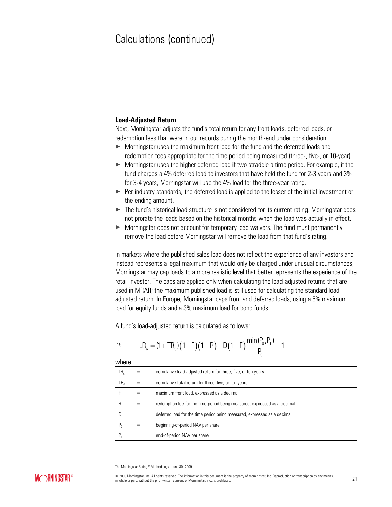#### **Load-Adjusted Return**

Next, Morningstar adjusts the fund's total return for any front loads, deferred loads, or redemption fees that were in our records during the month-end under consideration.

- × Morningstar uses the maximum front load for the fund and the deferred loads and redemption fees appropriate for the time period being measured (three-, five-, or 10-year).
- ► Morningstar uses the higher deferred load if two straddle a time period. For example, if the fund charges a 4% deferred load to investors that have held the fund for 2-3 years and 3% for 3-4 years, Morningstar will use the 4% load for the three-year rating.
- $\blacktriangleright$  Per industry standards, the deferred load is applied to the lesser of the initial investment or the ending amount.
- ▶ The fund's historical load structure is not considered for its current rating. Morningstar does not prorate the loads based on the historical months when the load was actually in effect.
- $\triangleright$  Morningstar does not account for temporary load waivers. The fund must permanently remove the load before Morningstar will remove the load from that fund's rating.

In markets where the published sales load does not reflect the experience of any investors and instead represents a legal maximum that would only be charged under unusual circumstances, Morningstar may cap loads to a more realistic level that better represents the experience of the retail investor. The caps are applied only when calculating the load-adjusted returns that are used in MRAR; the maximum published load is still used for calculating the standard loadadjusted return. In Europe, Morningstar caps front and deferred loads, using a 5% maximum load for equity funds and a 3% maximum load for bond funds.

A fund's load-adjusted return is calculated as follows:  
\n
$$
LR_c = (1 + TR_c)(1 - F)(1 - R) - D(1 - F)\frac{\min(P_0, P_T)}{P_0} - 1
$$

where

| LR,   | cumulative load-adjusted return for three, five, or ten years             |
|-------|---------------------------------------------------------------------------|
| TR,   | cumulative total return for three, five, or ten years                     |
|       | maximum front load, expressed as a decimal                                |
| R     | redemption fee for the time period being measured, expressed as a decimal |
|       | deferred load for the time period being measured, expressed as a decimal  |
| $P_0$ | beginning-of-period NAV per share                                         |
|       | end-of-period NAV per share                                               |

The Morningstar Rating™ Methodology | June 30, 2009

© 2009 Morningstar, Inc. All rights reserved. The information in this document is the property of Morningstar, Inc. Reproduction or transcription by any means, in whole or part, inc. All rights reserved. The information in this occurrient is the property or withingstar, inc. reproduction or datisciplion by any means, 21 in whole or part, without the prior written consent of Morni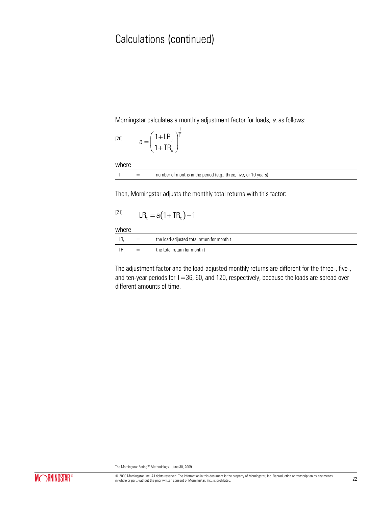Morningstar calculates a monthly adjustment factor for loads, a, as follows:

1

[20] 
$$
a = \left(\frac{1 + LR_c}{1 + TR_c}\right)^{\frac{1}{T}}
$$

where

| number of months in the period (e.g., three, five, or 10 years) |  |
|-----------------------------------------------------------------|--|
|-----------------------------------------------------------------|--|

Then, Morningstar adjusts the monthly total returns with this factor:

$$
[21] \tLR_t = a(1 + TR_t) - 1
$$

where

| vvii Uitv |     |                                            |
|-----------|-----|--------------------------------------------|
| LR.       | $=$ | the load-adjusted total return for month t |
| TR.       | $=$ | the total return for month t               |

The adjustment factor and the load-adjusted monthly returns are different for the three-, five-, and ten-year periods for  $T=36$ , 60, and 120, respectively, because the loads are spread over different amounts of time.

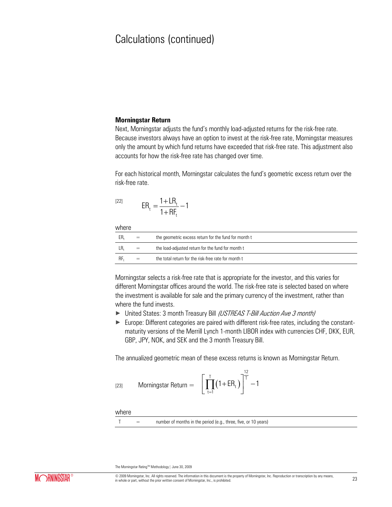#### **Morningstar Return**

Next, Morningstar adjusts the fund's monthly load-adjusted returns for the risk-free rate. Because investors always have an option to invest at the risk-free rate, Morningstar measures only the amount by which fund returns have exceeded that risk-free rate. This adjustment also accounts for how the risk-free rate has changed over time.

For each historical month, Morningstar calculates the fund's geometric excess return over the risk-free rate.

$$
ER_t = \frac{1 + LR_t}{1 + RF_t} - 1
$$

where

| $=$ | the geometric excess return for the fund for month t |
|-----|------------------------------------------------------|
| $=$ | the load-adjusted return for the fund for month t    |
| $=$ | the total return for the risk-free rate for month t  |

Morningstar selects a risk-free rate that is appropriate for the investor, and this varies for different Morningstar offices around the world. The risk-free rate is selected based on where the investment is available for sale and the primary currency of the investment, rather than where the fund invests.

- ▶ United States: 3 month Treasury Bill (USTREAS T-Bill Auction Ave 3 month)
- ► Europe: Different categories are paired with different risk-free rates, including the constantmaturity versions of the Merrill Lynch 1-month LIBOR index with currencies CHF, DKK, EUR, GBP, JPY, NOK, and SEK and the 3 month Treasury Bill.

The annualized geometric mean of these excess returns is known as Morningstar Return.

[23] **Morningstar Return** = 
$$
\left[\prod_{t=1}^{T} (1 + ER_t)\right]^{\frac{12}{T}} - 1
$$

where

|  |  | number of months in the period (e.g., three, five, or 10 years) |
|--|--|-----------------------------------------------------------------|
|--|--|-----------------------------------------------------------------|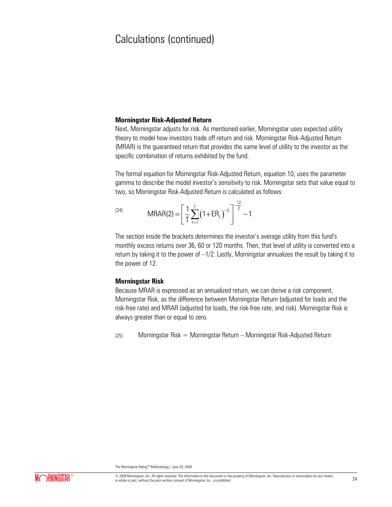#### **Morningstar Risk-Adjusted Return**

Next, Morningstar adjusts for risk. As mentioned earlier, Morningstar uses expected utility theory to model how investors trade off return and risk. Morningstar Risk-Adjusted Return (MRAR) is the guaranteed return that provides the same level of utility to the investor as the specific combination of returns exhibited by the fund.

The formal equation for Morningstar Risk-Adjusted Return, equation 10, uses the parameter gamma to describe the model investor's sensitivity to risk. Morningstar sets that value equal to two, so Morningstar Risk-Adjusted Return is calculated as follows:

[24] 
$$
MRAR(2) = \left[\frac{1}{T} \sum_{t=1}^{T} (1 + ER_t)^{-2}\right]^{\frac{12}{2}} - 1
$$

The section inside the brackets determines the investor's average utility from this fund's monthly excess returns over 36, 60 or 120 months. Then, that level of utility is converted into a return by taking it to the power of –1/2. Lastly, Morningstar annualizes the result by taking it to the power of 12.

#### **Morningstar Risk**

Because MRAR is expressed as an annualized return, we can derive a risk component, Morningstar Risk, as the difference between Morningstar Return (adjusted for loads and the risk-free rate) and MRAR (adjusted for loads, the risk-free rate, and risk). Morningstar Risk is always greater than or equal to zero.

[25] Morningstar Risk = Morningstar Return – Morningstar Risk-Adjusted Return

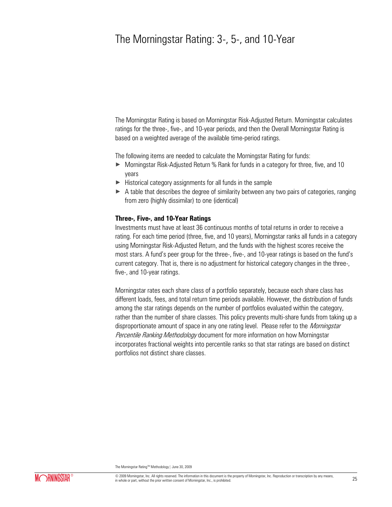### The Morningstar Rating: 3-, 5-, and 10-Year

The Morningstar Rating is based on Morningstar Risk-Adjusted Return. Morningstar calculates ratings for the three-, five-, and 10-year periods, and then the Overall Morningstar Rating is based on a weighted average of the available time-period ratings.

The following items are needed to calculate the Morningstar Rating for funds:

- ► Morningstar Risk-Adjusted Return % Rank for funds in a category for three, five, and 10 years
- $\blacktriangleright$  Historical category assignments for all funds in the sample
- $\triangleright$  A table that describes the degree of similarity between any two pairs of categories, ranging from zero (highly dissimilar) to one (identical)

#### **Three-, Five-, and 10-Year Ratings**

Investments must have at least 36 continuous months of total returns in order to receive a rating. For each time period (three, five, and 10 years), Morningstar ranks all funds in a category using Morningstar Risk-Adjusted Return, and the funds with the highest scores receive the most stars. A fund's peer group for the three-, five-, and 10-year ratings is based on the fund's current category. That is, there is no adjustment for historical category changes in the three-, five-, and 10-year ratings.

Morningstar rates each share class of a portfolio separately, because each share class has different loads, fees, and total return time periods available. However, the distribution of funds among the star ratings depends on the number of portfolios evaluated within the category, rather than the number of share classes. This policy prevents multi-share funds from taking up a disproportionate amount of space in any one rating level. Please refer to the *Morningstar* Percentile Ranking Methodology document for more information on how Morningstar incorporates fractional weights into percentile ranks so that star ratings are based on distinct portfolios not distinct share classes.

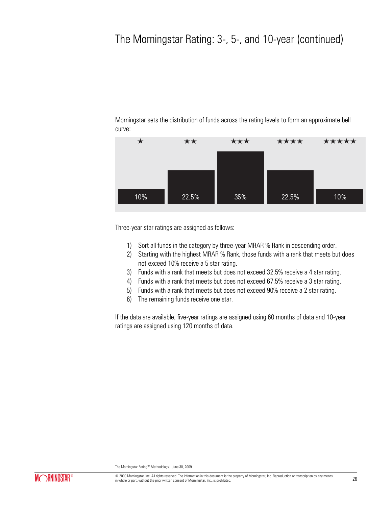# The Morningstar Rating: 3-, 5-, and 10-year (continued)

Morningstar sets the distribution of funds across the rating levels to form an approximate bell curve:



Three-year star ratings are assigned as follows:

- 1) Sort all funds in the category by three-year MRAR % Rank in descending order.
- 2) Starting with the highest MRAR % Rank, those funds with a rank that meets but does not exceed 10% receive a 5 star rating.
- 3) Funds with a rank that meets but does not exceed 32.5% receive a 4 star rating.
- 4) Funds with a rank that meets but does not exceed 67.5% receive a 3 star rating.
- 5) Funds with a rank that meets but does not exceed 90% receive a 2 star rating.
- 6) The remaining funds receive one star.

If the data are available, five-year ratings are assigned using 60 months of data and 10-year ratings are assigned using 120 months of data.

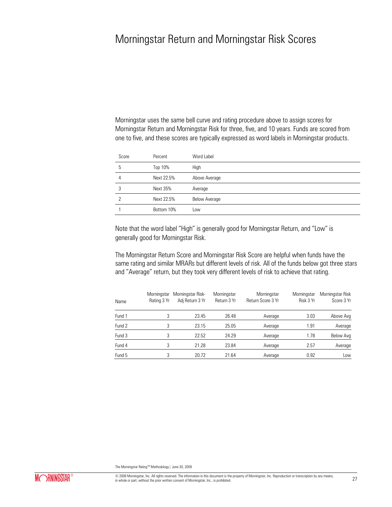### Morningstar Return and Morningstar Risk Scores

Morningstar uses the same bell curve and rating procedure above to assign scores for Morningstar Return and Morningstar Risk for three, five, and 10 years. Funds are scored from one to five, and these scores are typically expressed as word labels in Morningstar products.

| Score          | Percent         | Word Label           |
|----------------|-----------------|----------------------|
| 5              | Top 10%         | High                 |
| $\overline{4}$ | Next 22.5%      | Above Average        |
| 3              | <b>Next 35%</b> | Average              |
| $\mathcal{P}$  | Next 22.5%      | <b>Below Average</b> |
|                | Bottom 10%      | Low                  |

Note that the word label "High" is generally good for Morningstar Return, and "Low" is generally good for Morningstar Risk.

The Morningstar Return Score and Morningstar Risk Score are helpful when funds have the same rating and similar MRARs but different levels of risk. All of the funds below got three stars and "Average" return, but they took very different levels of risk to achieve that rating.

| Name   | Morningstar<br>Rating 3 Yr | Morningstar Risk-<br>Adi Return 3 Yr | Morningstar<br>Return 3 Yr | Morningstar<br>Return Score 3 Yr | Morningstar<br>Risk 3 Yr | Morningstar Risk<br>Score 3 Yr |
|--------|----------------------------|--------------------------------------|----------------------------|----------------------------------|--------------------------|--------------------------------|
| Fund 1 |                            | 23.45                                | 26.48                      | Average                          | 3.03                     | Above Avg                      |
| Fund 2 | 3                          | 23.15                                | 25.05                      | Average                          | 1.91                     | Average                        |
| Fund 3 | 3                          | 22.52                                | 24.29                      | Average                          | 1.78                     | Below Avg                      |
| Fund 4 | 3                          | 21.28                                | 23.84                      | Average                          | 2.57                     | Average                        |
| Fund 5 | 3                          | 20.72                                | 21.64                      | Average                          | 0.92                     | Low                            |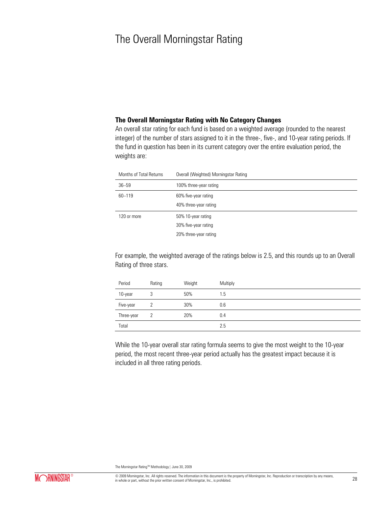### The Overall Morningstar Rating

#### **The Overall Morningstar Rating with No Category Changes**

An overall star rating for each fund is based on a weighted average (rounded to the nearest integer) of the number of stars assigned to it in the three-, five-, and 10-year rating periods. If the fund in question has been in its current category over the entire evaluation period, the weights are:

| Months of Total Returns | Overall (Weighted) Morningstar Rating |
|-------------------------|---------------------------------------|
| $36 - 59$               | 100% three-year rating                |
| 60-119                  | 60% five-year rating                  |
|                         | 40% three-year rating                 |
| 120 or more             | 50% 10-year rating                    |
|                         | 30% five-year rating                  |
|                         | 20% three-year rating                 |

For example, the weighted average of the ratings below is 2.5, and this rounds up to an Overall Rating of three stars.

| Period     | Rating | Weight | Multiply |
|------------|--------|--------|----------|
| 10-year    | c      | 50%    | 1.5      |
| Five-year  |        | 30%    | 0.6      |
| Three-year |        | 20%    | 0.4      |
| Total      |        |        | 2.5      |

While the 10-year overall star rating formula seems to give the most weight to the 10-year period, the most recent three-year period actually has the greatest impact because it is included in all three rating periods.

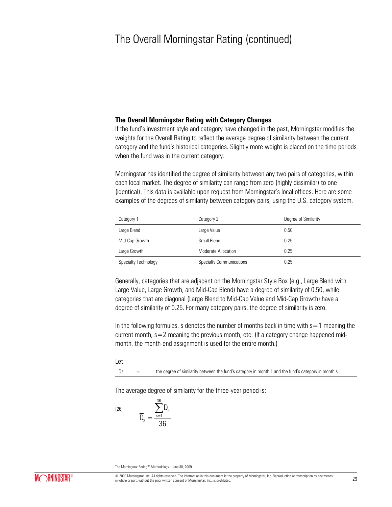### The Overall Morningstar Rating (continued)

#### **The Overall Morningstar Rating with Category Changes**

If the fund's investment style and category have changed in the past, Morningstar modifies the weights for the Overall Rating to reflect the average degree of similarity between the current category and the fund's historical categories. Slightly more weight is placed on the time periods when the fund was in the current category.

Morningstar has identified the degree of similarity between any two pairs of categories, within each local market. The degree of similarity can range from zero (highly dissimilar) to one (identical). This data is available upon request from Morningstar's local offices. Here are some examples of the degrees of similarity between category pairs, using the U.S. category system.

| Category 1           | Category 2                      | Degree of Similarity |
|----------------------|---------------------------------|----------------------|
| Large Blend          | Large Value                     | 0.50                 |
| Mid-Cap Growth       | Small Blend                     | 0.25                 |
| Large Growth         | Moderate Allocation             | 0.25                 |
| Specialty Technology | <b>Specialty Communications</b> | 0.25                 |

Generally, categories that are adjacent on the Morningstar Style Box (e.g., Large Blend with Large Value, Large Growth, and Mid-Cap Blend) have a degree of similarity of 0.50, while categories that are diagonal (Large Blend to Mid-Cap Value and Mid-Cap Growth) have a degree of similarity of 0.25. For many category pairs, the degree of similarity is zero.

In the following formulas, s denotes the number of months back in time with  $s=1$  meaning the current month,  $s=2$  meaning the previous month, etc. (If a category change happened midmonth, the month-end assignment is used for the entire month.)

#### Let:

 $Ds =$  the degree of similarity between the fund's category in month 1 and the fund's category in month s.

The average degree of similarity for the three-year period is:

[26]

$$
\overline{D}_3=\frac{\sum_{s=1}^{36}D_s}{36}
$$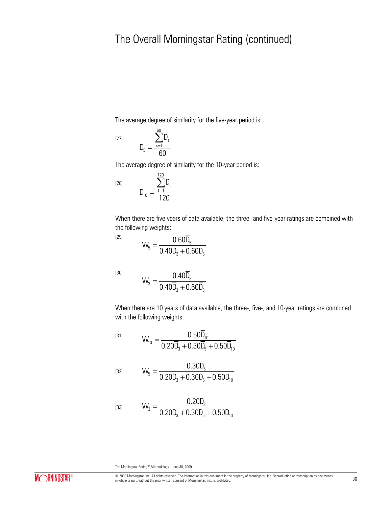## The Overall Morningstar Rating (continued)

The average degree of similarity for the five-year period is:

$$
[27] \n\qquad \qquad\n\overline{D}_5 = \frac{\sum_{s=1}^{60} D_s}{60}
$$

The average degree of similarity for the 10-year period is:

$$
\overline{D}_{10}=\frac{\sum_{s=1}^{120}D}{120}
$$

When there are five years of data available, the three- and five-year ratings are combined with the following weights:

$$
W_5=\frac{0.60\overline{D}_5}{0.40\overline{D}_3+0.60\overline{D}_5}
$$

s

D

[30]

[29]

[28]

$$
W_3 = \frac{0.40D_3}{0.40\overline{D}_3 + 0.60\overline{D}_5}
$$

When there are 10 years of data available, the three-, five-, and 10-year ratings are combined with the following weights:

$$
W_{10} = \frac{0.50\overline{D}_{10}}{0.20\overline{D}_{3} + 0.30\overline{D}_{5} + 0.50\overline{D}_{10}}
$$

$$
[32]
$$

$$
W_5 = \frac{0.30 D_5}{0.20 \overline{D}_3 + 0.30 \overline{D}_5 + 0.50 \overline{D}_{10}}
$$

$$
W_3 = \frac{0.20D_3}{0.20\overline{D}_3 + 0.30\overline{D}_5 + 0.50\overline{D}_{10}}
$$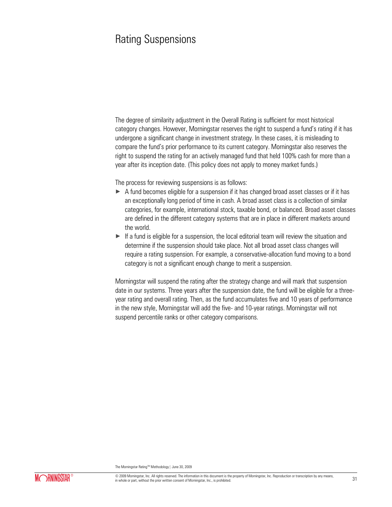### Rating Suspensions

The degree of similarity adjustment in the Overall Rating is sufficient for most historical category changes. However, Morningstar reserves the right to suspend a fund's rating if it has undergone a significant change in investment strategy. In these cases, it is misleading to compare the fund's prior performance to its current category. Morningstar also reserves the right to suspend the rating for an actively managed fund that held 100% cash for more than a year after its inception date. (This policy does not apply to money market funds.)

The process for reviewing suspensions is as follows:

- $\triangleright$  A fund becomes eligible for a suspension if it has changed broad asset classes or if it has an exceptionally long period of time in cash. A broad asset class is a collection of similar categories, for example, international stock, taxable bond, or balanced. Broad asset classes are defined in the different category systems that are in place in different markets around the world.
- $\blacktriangleright$  If a fund is eligible for a suspension, the local editorial team will review the situation and determine if the suspension should take place. Not all broad asset class changes will require a rating suspension. For example, a conservative-allocation fund moving to a bond category is not a significant enough change to merit a suspension.

Morningstar will suspend the rating after the strategy change and will mark that suspension date in our systems. Three years after the suspension date, the fund will be eligible for a threeyear rating and overall rating. Then, as the fund accumulates five and 10 years of performance in the new style, Morningstar will add the five- and 10-year ratings. Morningstar will not suspend percentile ranks or other category comparisons.

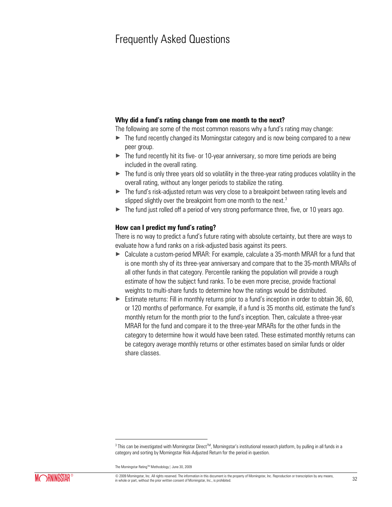### Frequently Asked Questions

### **Why did a fund's rating change from one month to the next?**

The following are some of the most common reasons why a fund's rating may change:

- $\blacktriangleright$  The fund recently changed its Morningstar category and is now being compared to a new peer group.
- $\triangleright$  The fund recently hit its five- or 10-year anniversary, so more time periods are being included in the overall rating.
- $\triangleright$  The fund is only three years old so volatility in the three-year rating produces volatility in the overall rating, without any longer periods to stabilize the rating.
- ► The fund's risk-adjusted return was very close to a breakpoint between rating levels and slipped slightly over the breakpoint from one month to the next. $3$
- $\blacktriangleright$  The fund just rolled off a period of very strong performance three, five, or 10 years ago.

#### **How can I predict my fund's rating?**

There is no way to predict a fund's future rating with absolute certainty, but there are ways to evaluate how a fund ranks on a risk-adjusted basis against its peers.

- ► Calculate a custom-period MRAR: For example, calculate a 35-month MRAR for a fund that is one month shy of its three-year anniversary and compare that to the 35-month MRARs of all other funds in that category. Percentile ranking the population will provide a rough estimate of how the subject fund ranks. To be even more precise, provide fractional weights to multi-share funds to determine how the ratings would be distributed.
- ► Estimate returns: Fill in monthly returns prior to a fund's inception in order to obtain 36, 60, or 120 months of performance. For example, if a fund is 35 months old, estimate the fund's monthly return for the month prior to the fund's inception. Then, calculate a three-year MRAR for the fund and compare it to the three-year MRARs for the other funds in the category to determine how it would have been rated. These estimated monthly returns can be category average monthly returns or other estimates based on similar funds or older share classes.

 $\overline{\phantom{a}}$ 



 $^3$  This can be investigated with Morningstar Direct $^{\text{TM}}$ , Morningstar's institutional research platform, by pulling in all funds in a category and sorting by Morningstar Risk-Adjusted Return for the period in question.

The Morningstar Rating™ Methodology | June 30, 2009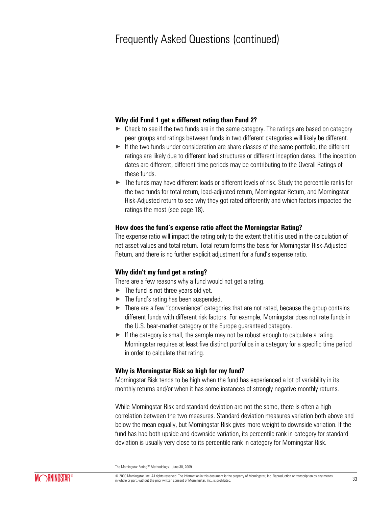### Frequently Asked Questions (continued)

#### **Why did Fund 1 get a different rating than Fund 2?**

- $\triangleright$  Check to see if the two funds are in the same category. The ratings are based on category peer groups and ratings between funds in two different categories will likely be different.
- $\blacktriangleright$  If the two funds under consideration are share classes of the same portfolio, the different ratings are likely due to different load structures or different inception dates. If the inception dates are different, different time periods may be contributing to the Overall Ratings of these funds.
- ► The funds may have different loads or different levels of risk. Study the percentile ranks for the two funds for total return, load-adjusted return, Morningstar Return, and Morningstar Risk-Adjusted return to see why they got rated differently and which factors impacted the ratings the most (see page 18).

#### **How does the fund's expense ratio affect the Morningstar Rating?**

The expense ratio will impact the rating only to the extent that it is used in the calculation of net asset values and total return. Total return forms the basis for Morningstar Risk-Adjusted Return, and there is no further explicit adjustment for a fund's expense ratio.

#### **Why didn't my fund get a rating?**

There are a few reasons why a fund would not get a rating.

- $\blacktriangleright$  The fund is not three years old yet.
- $\blacktriangleright$  The fund's rating has been suspended.
- $\blacktriangleright$  There are a few "convenience" categories that are not rated, because the group contains different funds with different risk factors. For example, Morningstar does not rate funds in the U.S. bear-market category or the Europe guaranteed category.
- $\blacktriangleright$  If the category is small, the sample may not be robust enough to calculate a rating. Morningstar requires at least five distinct portfolios in a category for a specific time period in order to calculate that rating.

#### **Why is Morningstar Risk so high for my fund?**

Morningstar Risk tends to be high when the fund has experienced a lot of variability in its monthly returns and/or when it has some instances of strongly negative monthly returns.

While Morningstar Risk and standard deviation are not the same, there is often a high correlation between the two measures. Standard deviation measures variation both above and below the mean equally, but Morningstar Risk gives more weight to downside variation. If the fund has had both upside and downside variation, its percentile rank in category for standard deviation is usually very close to its percentile rank in category for Morningstar Risk.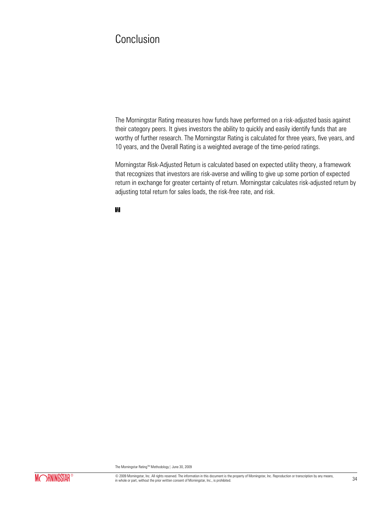### Conclusion

K

The Morningstar Rating measures how funds have performed on a risk-adjusted basis against their category peers. It gives investors the ability to quickly and easily identify funds that are worthy of further research. The Morningstar Rating is calculated for three years, five years, and 10 years, and the Overall Rating is a weighted average of the time-period ratings.

Morningstar Risk-Adjusted Return is calculated based on expected utility theory, a framework that recognizes that investors are risk-averse and willing to give up some portion of expected return in exchange for greater certainty of return. Morningstar calculates risk-adjusted return by adjusting total return for sales loads, the risk-free rate, and risk.